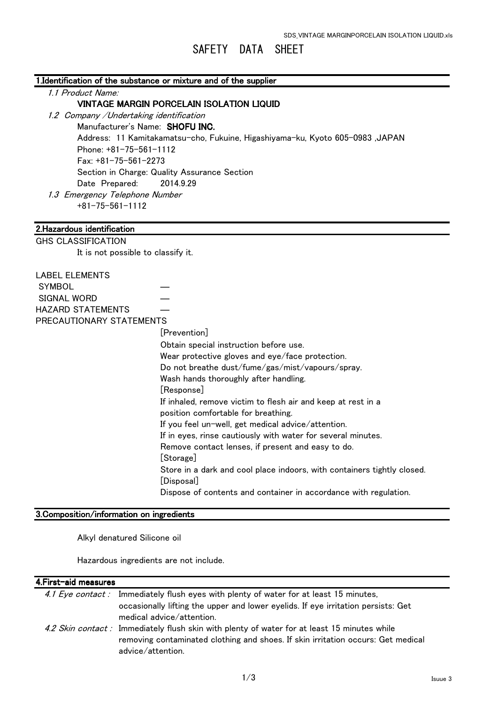# SAFETY DATA SHEET

|  | 1.Identification of the substance or mixture and of the supplier |
|--|------------------------------------------------------------------|
|--|------------------------------------------------------------------|

1.1 Product Name:

#### VINTAGE MARGIN PORCELAIN ISOLATION LIQUID

1.2 Company /Undertaking identification

Manufacturer's Name: SHOFU INC.

 Address: 11 Kamitakamatsu-cho, Fukuine, Higashiyama-ku, Kyoto 605-0983 ,JAPAN Phone: +81-75-561-1112 Fax: +81-75-561-2273 Section in Charge: Quality Assurance Section Date Prepared: 2014.9.29 1.3 Emergency Telephone Number +81-75-561-1112

# 2.Hazardous identification

| <b>Z.Hazardous Identification</b>         |                                                                         |  |
|-------------------------------------------|-------------------------------------------------------------------------|--|
| <b>GHS CLASSIFICATION</b>                 |                                                                         |  |
| It is not possible to classify it.        |                                                                         |  |
|                                           |                                                                         |  |
| <b>LABEL ELEMENTS</b>                     |                                                                         |  |
| <b>SYMBOL</b>                             |                                                                         |  |
| <b>SIGNAL WORD</b>                        |                                                                         |  |
| <b>HAZARD STATEMENTS</b>                  |                                                                         |  |
| PRECAUTIONARY STATEMENTS                  |                                                                         |  |
|                                           | [Prevention]                                                            |  |
|                                           | Obtain special instruction before use.                                  |  |
|                                           | Wear protective gloves and eye/face protection.                         |  |
|                                           | Do not breathe dust/fume/gas/mist/vapours/spray.                        |  |
|                                           | Wash hands thoroughly after handling.                                   |  |
|                                           | [Response]                                                              |  |
|                                           | If inhaled, remove victim to flesh air and keep at rest in a            |  |
|                                           | position comfortable for breathing.                                     |  |
|                                           | If you feel un-well, get medical advice/attention.                      |  |
|                                           | If in eyes, rinse cautiously with water for several minutes.            |  |
|                                           | Remove contact lenses, if present and easy to do.                       |  |
|                                           | [Storage]                                                               |  |
|                                           | Store in a dark and cool place indoors, with containers tightly closed. |  |
|                                           | [Disposal]                                                              |  |
|                                           | Dispose of contents and container in accordance with regulation.        |  |
|                                           |                                                                         |  |
| 3. Composition/information on ingredients |                                                                         |  |

Alkyl denatured Silicone oil

Hazardous ingredients are not include.

## 4. First-aid measures

| 4.1 Eye contact: Immediately flush eyes with plenty of water for at least 15 minutes,       |
|---------------------------------------------------------------------------------------------|
| occasionally lifting the upper and lower eyelids. If eye irritation persists: Get           |
| medical advice/attention.                                                                   |
| 4.2 Skin contact: Immediately flush skin with plenty of water for at least 15 minutes while |
| removing contaminated clothing and shoes. If skin irritation occurs: Get medical            |
| advice/attention.                                                                           |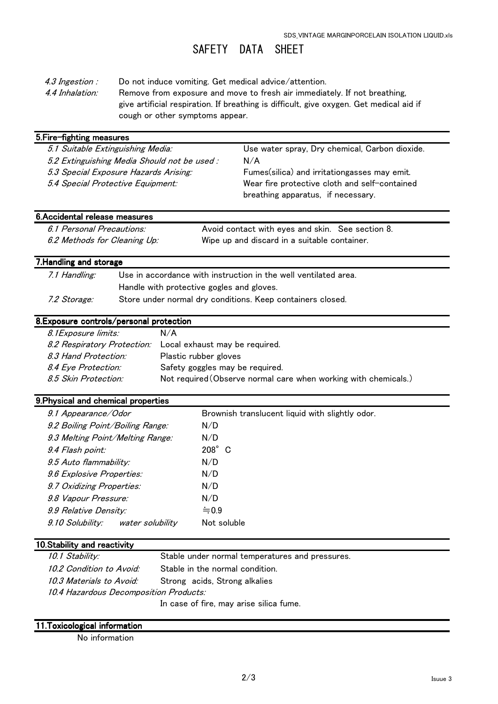# SAFETY DATA SHEET

- 4.3 Ingestion : Do not induce vomiting. Get medical advice/attention.
- 4.4 Inhalation: Remove from exposure and move to fresh air immediately. If not breathing, give artificial respiration. If breathing is difficult, give oxygen. Get medical aid if cough or other symptoms appear.

| 5. Fire-fighting measures                   |                                                |  |
|---------------------------------------------|------------------------------------------------|--|
| 5.1 Suitable Extinguishing Media:           | Use water spray, Dry chemical, Carbon dioxide. |  |
| 5.2 Extinguishing Media Should not be used: | N/A                                            |  |
| 5.3 Special Exposure Hazards Arising:       | Fumes(silica) and irritationgasses may emit.   |  |
| 5.4 Special Protective Equipment:           | Wear fire protective cloth and self-contained  |  |
|                                             | breathing apparatus, if necessary.             |  |
|                                             |                                                |  |

# 6.Accidental release measures

| 6.1 Personal Precautions:    | Avoid contact with eyes and skin. See section 8. |
|------------------------------|--------------------------------------------------|
| 6.2 Methods for Cleaning Up: | Wipe up and discard in a suitable container.     |

## 7. Handling and storage

| 7.1 Handling:       | Use in accordance with instruction in the well ventilated area. |
|---------------------|-----------------------------------------------------------------|
|                     | Handle with protective gogles and gloves.                       |
| <i>7.2 Storage:</i> | Store under normal dry conditions. Keep containers closed.      |

# 8.Exposure controls/personal protection

| 8.1 Exposure limits: | N/A                                                             |
|----------------------|-----------------------------------------------------------------|
|                      | 8.2 Respiratory Protection: Local exhaust may be required.      |
| 8.3 Hand Protection: | Plastic rubber gloves                                           |
| 8.4 Eye Protection:  | Safety goggles may be required.                                 |
| 8.5 Skin Protection: | Not required (Observe normal care when working with chemicals.) |

#### 9.Physical and chemical properties 9.Physical and chemical properties

| 9.1 Appearance/Odor                         | Brownish translucent liquid with slightly odor. |
|---------------------------------------------|-------------------------------------------------|
| 9.2 Boiling Point/Boiling Range:            | N/D                                             |
| 9.3 Melting Point/Melting Range:            | N/D                                             |
| 9.4 Flash point:                            | $208^\circ$ C                                   |
| 9.5 Auto flammability:                      | N/D                                             |
| 9.6 Explosive Properties:                   | N/D                                             |
| 9.7 Oxidizing Properties:                   | N/D                                             |
| 9.8 Vapour Pressure:                        | N/D                                             |
| 9.9 Relative Density:                       | $= 0.9$                                         |
| <i>9.10 Solubility:</i><br>water solubility | Not soluble                                     |
|                                             |                                                 |

### 10.Stability and reactivity

| 10.1 Stability:                        | Stable under normal temperatures and pressures. |
|----------------------------------------|-------------------------------------------------|
| 10.2 Condition to Avoid:               | Stable in the normal condition.                 |
| 10.3 Materials to Avoid:               | Strong acids, Strong alkalies                   |
| 10.4 Hazardous Decomposition Products: |                                                 |
|                                        | In case of fire, may arise silica fume.         |

## 11.Toxicological information

No information